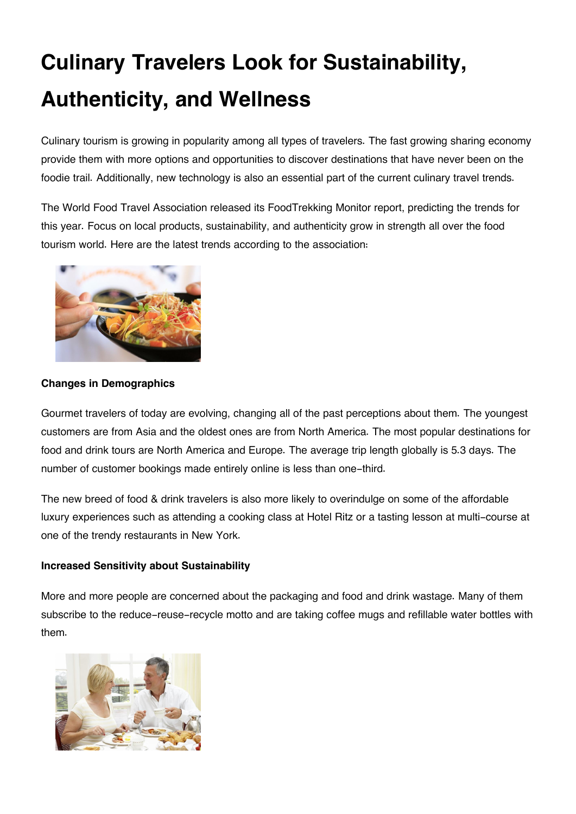# **Culinary Travelers Look for Sustainability, Authenticity, and Wellness**

Culinary tourism is growing in popularity among all types of travelers. The fast growing sharing economy provide them with more options and opportunities to discover destinations that have never been on the foodie trail. Additionally, new technology is also an essential part of the current culinary travel trends.

The World Food Travel Association released its FoodTrekking Monitor report, predicting the trends for this year. Focus on local products, sustainability, and authenticity grow in strength all over the food tourism world. Here are the latest trends according to the association:



## **Changes in Demographics**

Gourmet travelers of today are evolving, changing all of the past perceptions about them. The youngest customers are from Asia and the oldest ones are from North America. The most popular destinations for food and drink tours are North America and Europe. The average trip length globally is 5.3 days. The number of customer bookings made entirely online is less than one-third.

The new breed of food & drink travelers is also more likely to overindulge on some of the affordable luxury experiences such as attending a cooking class at Hotel Ritz or a tasting lesson at multi-course at one of the trendy restaurants in New York.

#### **Increased Sensitivity about Sustainability**

More and more people are concerned about the packaging and food and drink wastage. Many of them subscribe to the reduce-reuse-recycle motto and are taking coffee mugs and refillable water bottles with them.

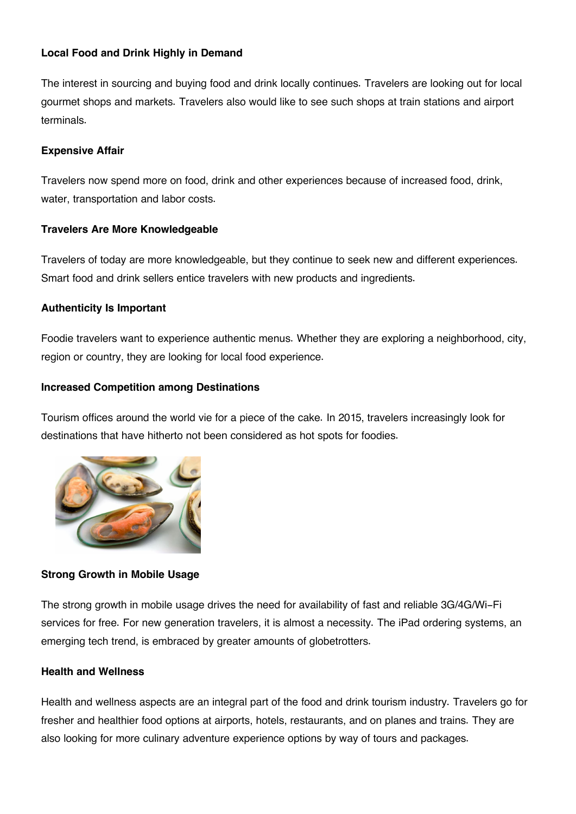# **Local Food and Drink Highly in Demand**

The interest in sourcing and buying food and drink locally continues. Travelers are looking out for local gourmet shops and markets. Travelers also would like to see such shops at train stations and airport terminals.

## **Expensive Affair**

Travelers now spend more on food, drink and other experiences because of increased food, drink, water, transportation and labor costs.

## **Travelers Are More Knowledgeable**

Travelers of today are more knowledgeable, but they continue to seek new and different experiences. Smart food and drink sellers entice travelers with new products and ingredients.

## **Authenticity Is Important**

Foodie travelers want to experience authentic menus. Whether they are exploring a neighborhood, city, region or country, they are looking for local food experience.

## **Increased Competition among Destinations**

Tourism offices around the world vie for a piece of the cake. In 2015, travelers increasingly look for destinations that have hitherto not been considered as hot spots for foodies.



# **Strong Growth in Mobile Usage**

The strong growth in mobile usage drives the need for availability of fast and reliable 3G/4G/Wi-Fi services for free. For new generation travelers, it is almost a necessity. The iPad ordering systems, an emerging tech trend, is embraced by greater amounts of globetrotters.

#### **Health and Wellness**

Health and wellness aspects are an integral part of the food and drink tourism industry. Travelers go for fresher and healthier food options at airports, hotels, restaurants, and on planes and trains. They are also looking for more culinary adventure experience options by way of tours and packages.